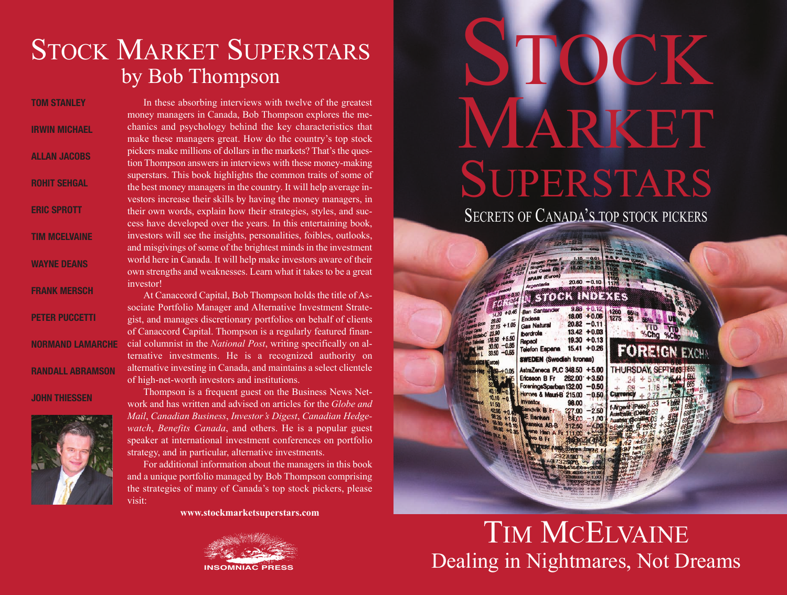# Stock **ARKET** SUPERSTARS SECRETS OF CANADA'S TOP STOCK PICKERS

| $-20.7$<br>$\begin{array}{r} 1.15 - 0.01 \\ 27.80 - 0.10 \\ 13.00 - 0.20 \end{array}$<br>Unit Oses Bk F<br><b>SPAIN (Euros)</b><br>$20.60 - 0.10$<br>Argentaria<br><b>STOCK INDEXES</b>                                                                                                                                                                                                                                                                                                                               | 1100<br>112,<br>1150<br>1176                                                                                     |
|-----------------------------------------------------------------------------------------------------------------------------------------------------------------------------------------------------------------------------------------------------------------------------------------------------------------------------------------------------------------------------------------------------------------------------------------------------------------------------------------------------------------------|------------------------------------------------------------------------------------------------------------------|
| Ban<br>∞nt<br>$9.88 + 0.12$<br><b>Ban Santander</b><br>$+0.46$<br>14.20<br>$18.06 + 0.06$<br>Endesa<br>28.80<br>$20.82 - 0.11$<br><b>Gas Natural</b><br>$+1.05$<br>37.15<br>upo Carso<br>$13.42 + 0.03$<br><b>Iberdrola</b><br>23.90<br>no Modelo-C<br>$176.50 + 5.50$<br>$19.30 + 0.13$<br>Repsol<br>$30.50 - 0.85$<br>$15.41 + 0.26$<br><b>Telefon Espana</b><br>$33.50 - 0.55$<br><b>Letters</b> L<br><b>SWEDEN (Swedish kronas)</b><br><b>ERLANDS &amp; Euros)</b><br>AstraZeneca PLC 348.50 +5.00<br>$60 + 0.05$ | 1260<br>$\frac{651}{35}$<br>1275<br>505<br>YТ<br>%Chg %Cho<br><b>FOREIGN EXCHA</b><br>51655<br>THURSDAY, SEPTEM8 |
| Ericsson B Fr<br>$262.00 + 3.50$<br>ForeningsSparban 132.00 - 0.50<br><b>Kan Nobel</b><br>40.1.<br>50.<br>Hennes & Mauri-B 215.00 -0.50<br>$10.10 - 0.$<br><b>Noted</b><br><b>Investor</b><br>98.00<br>51.50<br>大きく<br><b>Sandvik B Fr</b> 227.00<br>$42.95 + 0.40$<br>$-2.50$<br><b>E Barken</b><br>825 + 1.60<br>84.00<br>$-1.00$<br>5690 + 0.10<br>kanska AB-B<br>312.50<br>$-ADI$<br>880 + 0.35<br>yens Hen A Fr 111,00<br><b>NZ SI</b>                                                                           | 665<br>f-Argent (Peso)<br>650<br>Australia (Dollar) 63<br><b>Austria</b> (S                                      |
| <b>WO B Fr</b><br><b>ALTER VIAT GALLER</b><br>$-0.01$<br>2927.20<br>-001<br>$\mathbf{q}$<br><b>DO.00 BL</b><br>$+ 29.00$<br><b>CICLES</b> .<br>$+9.50$<br><b>BIRDER PACK</b><br>$+10.00$                                                                                                                                                                                                                                                                                                                              |                                                                                                                  |

TIM MCELVAINE Dealing in Nightmares, Not Dreams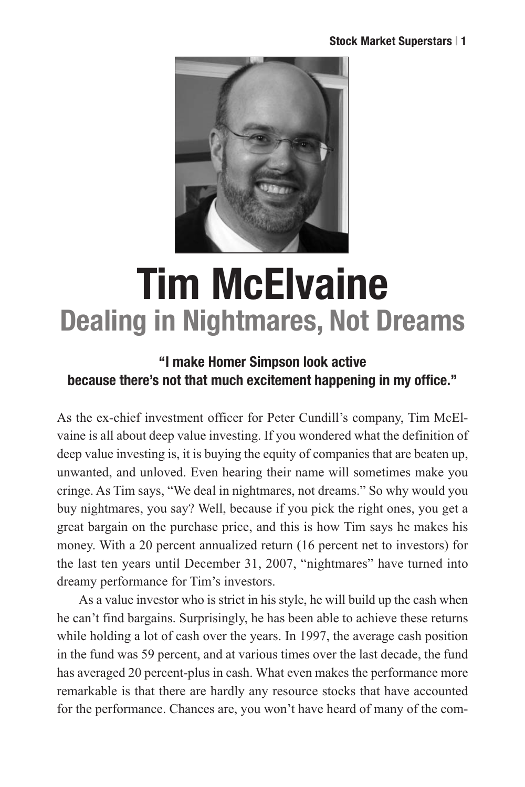

# **Tim McElvaine Dealing in Nightmares, Not Dreams**

# **"I make Homer Simpson look active because there's not that much excitement happening in my office."**

As the ex-chief investment officer for Peter Cundill's company, Tim McElvaine is all about deep value investing. If you wondered what the definition of deep value investing is, it is buying the equity of companies that are beaten up, unwanted, and unloved. Even hearing their name will sometimes make you cringe. As Tim says, "We deal in nightmares, not dreams." So why would you buy nightmares, you say? Well, because if you pick the right ones, you get a great bargain on the purchase price, and this is how Tim says he makes his money. With a 20 percent annualized return (16 percent net to investors) for the last ten years until December 31, 2007, "nightmares" have turned into dreamy performance for Tim's investors.

As a value investor who is strict in his style, he will build up the cash when he can't find bargains. Surprisingly, he has been able to achieve these returns while holding a lot of cash over the years. In 1997, the average cash position in the fund was 59 percent, and at various times over the last decade, the fund has averaged 20 percent-plus in cash. What even makes the performance more remarkable is that there are hardly any resource stocks that have accounted for the performance. Chances are, you won't have heard of many of the com-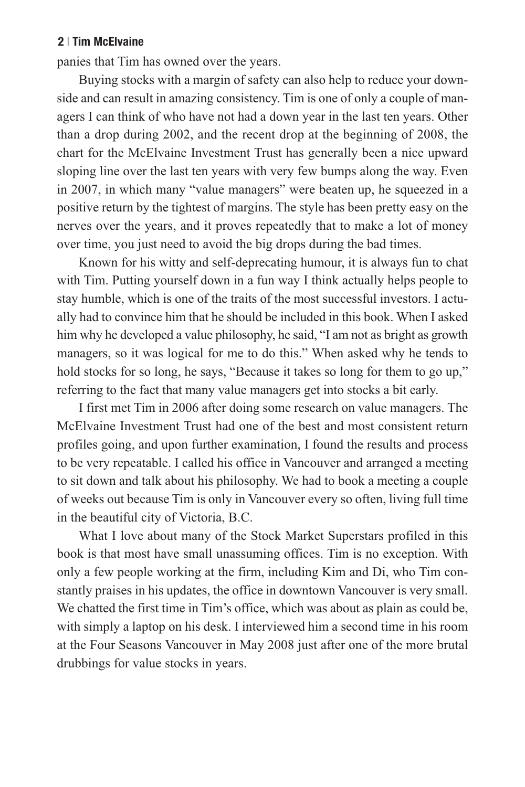panies that Tim has owned over the years.

Buying stocks with a margin of safety can also help to reduce your downside and can result in amazing consistency. Tim is one of only a couple of managers I can think of who have not had a down year in the last ten years. Other than a drop during 2002, and the recent drop at the beginning of 2008, the chart for the McElvaine Investment Trust has generally been a nice upward sloping line over the last ten years with very few bumps along the way. Even in 2007, in which many "value managers" were beaten up, he squeezed in a positive return by the tightest of margins. The style has been pretty easy on the nerves over the years, and it proves repeatedly that to make a lot of money over time, you just need to avoid the big drops during the bad times.

Known for his witty and self-deprecating humour, it is always fun to chat with Tim. Putting yourself down in a fun way I think actually helps people to stay humble, which is one of the traits of the most successful investors. I actually had to convince him that he should be included in this book. When I asked him why he developed a value philosophy, he said, "I am not as bright as growth managers, so it was logical for me to do this." When asked why he tends to hold stocks for so long, he says, "Because it takes so long for them to go up," referring to the fact that many value managers get into stocks a bit early.

I first met Tim in 2006 after doing some research on value managers. The McElvaine Investment Trust had one of the best and most consistent return profiles going, and upon further examination, I found the results and process to be very repeatable. I called his office in Vancouver and arranged a meeting to sit down and talk about his philosophy. We had to book a meeting a couple of weeks out because Tim is only in Vancouver every so often, living full time in the beautiful city of Victoria, B.C.

What I love about many of the Stock Market Superstars profiled in this book is that most have small unassuming offices. Tim is no exception. With only a few people working at the firm, including Kim and Di, who Tim constantly praises in his updates, the office in downtown Vancouver is very small. We chatted the first time in Tim's office, which was about as plain as could be, with simply a laptop on his desk. I interviewed him a second time in his room at the Four Seasons Vancouver in May 2008 just after one of the more brutal drubbings for value stocks in years.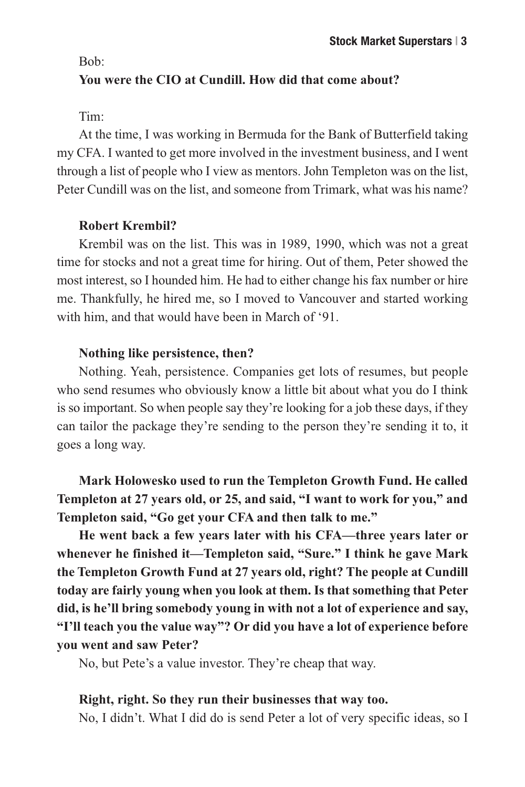Bob:

#### **You were the CIO at Cundill. How did that come about?**

#### Tim:

At the time, I was working in Bermuda for the Bank of Butterfield taking my CFA. I wanted to get more involved in the investment business, and I went through a list of people who I view as mentors. John Templeton was on the list, Peter Cundill was on the list, and someone from Trimark, what was his name?

#### **Robert Krembil?**

Krembil was on the list. This was in 1989, 1990, which was not a great time for stocks and not a great time for hiring. Out of them, Peter showed the most interest, so I hounded him. He had to either change his fax number or hire me. Thankfully, he hired me, so I moved to Vancouver and started working with him, and that would have been in March of '91.

#### **Nothing like persistence, then?**

Nothing. Yeah, persistence. Companies get lots of resumes, but people who send resumes who obviously know a little bit about what you do I think is so important. So when people say they're looking for a job these days, if they can tailor the package they're sending to the person they're sending it to, it goes a long way.

**Mark Holowesko used to run the Templeton Growth Fund. He called Templeton at 27 years old, or 25, and said, "I want to work for you," and Templeton said, "Go get your CFA and then talk to me."**

**He went back a few years later with his CFA—three years later or whenever he finished it—Templeton said, "Sure." I think he gave Mark the Templeton Growth Fund at 27 years old, right? The people at Cundill today are fairly young when you look at them. Is that something that Peter did, is he'll bring somebody young in with not a lot of experience and say, "I'll teach you the value way"? Or did you have a lot of experience before you went and saw Peter?**

No, but Pete's a value investor. They're cheap that way.

#### **Right, right. So they run their businesses that way too.**

No, I didn't. What I did do is send Peter a lot of very specific ideas, so I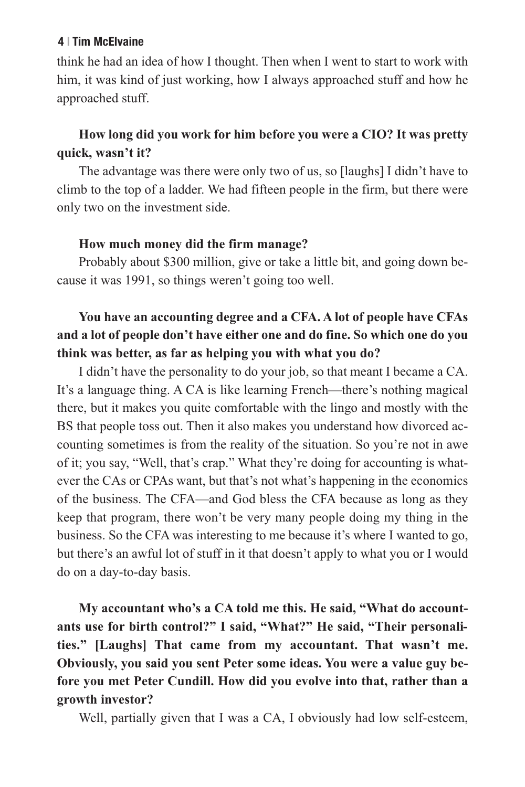think he had an idea of how I thought. Then when I went to start to work with him, it was kind of just working, how I always approached stuff and how he approached stuff.

# **How long did you work for him before you were a CIO? It was pretty quick, wasn't it?**

The advantage was there were only two of us, so [laughs] I didn't have to climb to the top of a ladder. We had fifteen people in the firm, but there were only two on the investment side.

#### **How much money did the firm manage?**

Probably about \$300 million, give or take a little bit, and going down because it was 1991, so things weren't going too well.

# **You have an accounting degree and a CFA. A lot of people have CFAs and a lot of people don't have either one and do fine. So which one do you think was better, as far as helping you with what you do?**

I didn't have the personality to do your job, so that meant I became a CA. It's a language thing. A CA is like learning French—there's nothing magical there, but it makes you quite comfortable with the lingo and mostly with the BS that people toss out. Then it also makes you understand how divorced accounting sometimes is from the reality of the situation. So you're not in awe of it; you say, "Well, that's crap." What they're doing for accounting is whatever the CAs or CPAs want, but that's not what's happening in the economics of the business. The CFA—and God bless the CFA because as long as they keep that program, there won't be very many people doing my thing in the business. So the CFA was interesting to me because it's where I wanted to go, but there's an awful lot of stuff in it that doesn't apply to what you or I would do on a day-to-day basis.

**My accountant who's a CA told me this. He said, "What do accountants use for birth control?" I said, "What?" He said, "Their personalities." [Laughs] That came from my accountant. That wasn't me. Obviously, you said you sent Peter some ideas. You were a value guy before you met Peter Cundill. How did you evolve into that, rather than a growth investor?**

Well, partially given that I was a CA, I obviously had low self-esteem,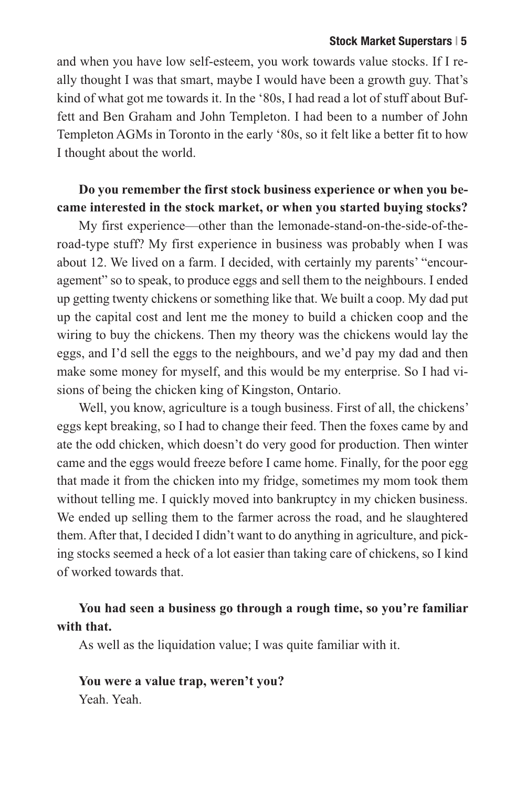and when you have low self-esteem, you work towards value stocks. If I really thought I was that smart, maybe I would have been a growth guy. That's kind of what got me towards it. In the '80s, I had read a lot of stuff about Buffett and Ben Graham and John Templeton. I had been to a number of John Templeton AGMs in Toronto in the early '80s, so it felt like a better fit to how I thought about the world.

# **Do you remember the first stock business experience or when you became interested in the stock market, or when you started buying stocks?**

My first experience—other than the lemonade-stand-on-the-side-of-theroad-type stuff? My first experience in business was probably when I was about 12. We lived on a farm. I decided, with certainly my parents' "encouragement" so to speak, to produce eggs and sell them to the neighbours. I ended up getting twenty chickens or something like that. We built a coop. My dad put up the capital cost and lent me the money to build a chicken coop and the wiring to buy the chickens. Then my theory was the chickens would lay the eggs, and I'd sell the eggs to the neighbours, and we'd pay my dad and then make some money for myself, and this would be my enterprise. So I had visions of being the chicken king of Kingston, Ontario.

Well, you know, agriculture is a tough business. First of all, the chickens' eggs kept breaking, so I had to change their feed. Then the foxes came by and ate the odd chicken, which doesn't do very good for production. Then winter came and the eggs would freeze before I came home. Finally, for the poor egg that made it from the chicken into my fridge, sometimes my mom took them without telling me. I quickly moved into bankruptcy in my chicken business. We ended up selling them to the farmer across the road, and he slaughtered them. After that, I decided I didn't want to do anything in agriculture, and picking stocks seemed a heck of a lot easier than taking care of chickens, so I kind of worked towards that.

# **You had seen a business go through a rough time, so you're familiar with that.**

As well as the liquidation value; I was quite familiar with it.

# **You were a value trap, weren't you?**

Yeah. Yeah.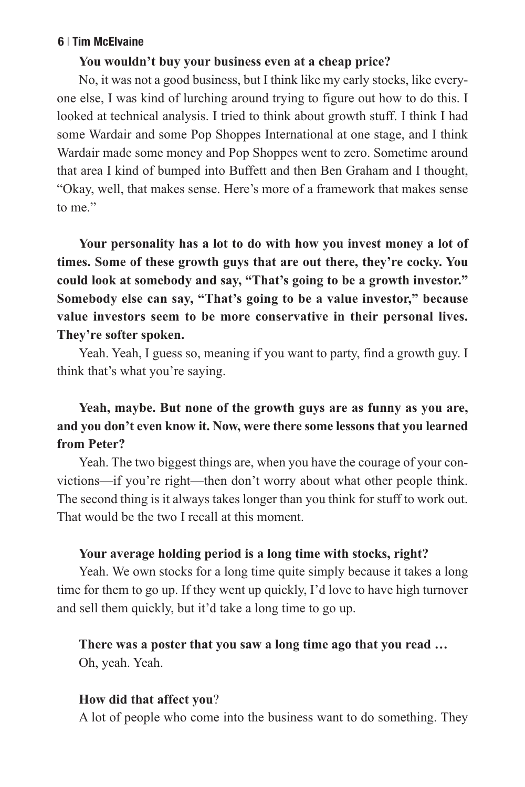#### **You wouldn't buy your business even at a cheap price?**

No, it was not a good business, but I think like my early stocks, like everyone else, I was kind of lurching around trying to figure out how to do this. I looked at technical analysis. I tried to think about growth stuff. I think I had some Wardair and some Pop Shoppes International at one stage, and I think Wardair made some money and Pop Shoppes went to zero. Sometime around that area I kind of bumped into Buffett and then Ben Graham and I thought, "Okay, well, that makes sense. Here's more of a framework that makes sense to me."

**Your personality has a lot to do with how you invest money a lot of times. Some of these growth guys that are out there, they're cocky. You could look at somebody and say, "That's going to be a growth investor." Somebody else can say, "That's going to be a value investor," because value investors seem to be more conservative in their personal lives. They're softer spoken.**

Yeah. Yeah, I guess so, meaning if you want to party, find a growth guy. I think that's what you're saying.

# **Yeah, maybe. But none of the growth guys are as funny as you are, and you don't even know it. Now, were there some lessons that you learned from Peter?**

Yeah. The two biggest things are, when you have the courage of your convictions—if you're right—then don't worry about what other people think. The second thing is it always takes longer than you think for stuff to work out. That would be the two I recall at this moment.

#### **Your average holding period is a long time with stocks, right?**

Yeah. We own stocks for a long time quite simply because it takes a long time for them to go up. If they went up quickly, I'd love to have high turnover and sell them quickly, but it'd take a long time to go up.

#### **There was a poster that you saw a long time ago that you read …**

Oh, yeah. Yeah.

#### **How did that affect you**?

A lot of people who come into the business want to do something. They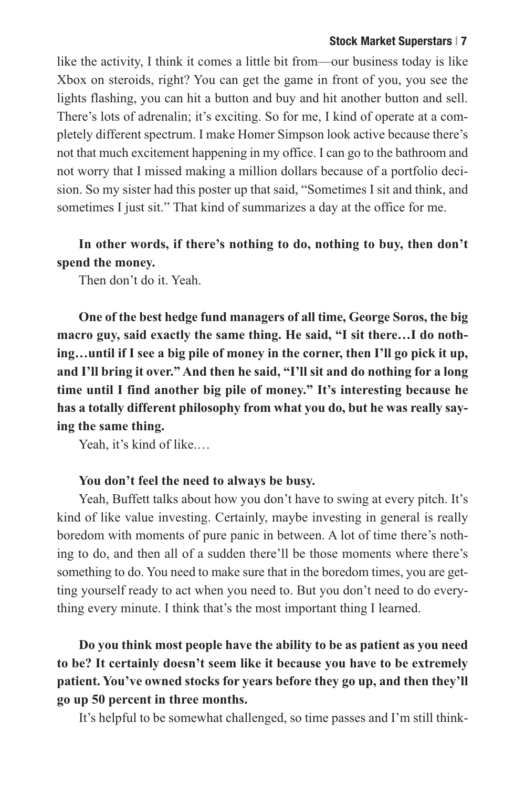like the activity, I think it comes a little bit from—our business today is like Xbox on steroids, right? You can get the game in front of you, you see the lights flashing, you can hit a button and buy and hit another button and sell. There's lots of adrenalin; it's exciting. So for me, I kind of operate at a completely different spectrum. I make Homer Simpson look active because there's not that much excitement happening in my office. I can go to the bathroom and not worry that I missed making a million dollars because of a portfolio decision. So my sister had this poster up that said, "Sometimes I sit and think, and sometimes I just sit." That kind of summarizes a day at the office for me.

# **In other words, if there's nothing to do, nothing to buy, then don't spend the money.**

Then don't do it. Yeah.

**One of the best hedge fund managers of all time, George Soros, the big macro guy, said exactly the same thing. He said, "I sit there…I do nothing…until if I see a big pile of money in the corner, then I'll go pick it up, and I'll bring it over." And then he said, "I'll sit and do nothing for a long time until I find another big pile of money." It's interesting because he has a totally different philosophy from what you do, but he was really saying the same thing.**

Yeah, it's kind of like.…

#### **You don't feel the need to always be busy.**

Yeah, Buffett talks about how you don't have to swing at every pitch. It's kind of like value investing. Certainly, maybe investing in general is really boredom with moments of pure panic in between. A lot of time there's nothing to do, and then all of a sudden there'll be those moments where there's something to do. You need to make sure that in the boredom times, you are getting yourself ready to act when you need to. But you don't need to do everything every minute. I think that's the most important thing I learned.

**Do you think most people have the ability to be as patient as you need to be? It certainly doesn't seem like it because you have to be extremely patient. You've owned stocks for years before they go up, and then they'll go up 50 percent in three months.**

It's helpful to be somewhat challenged, so time passes and I'm still think-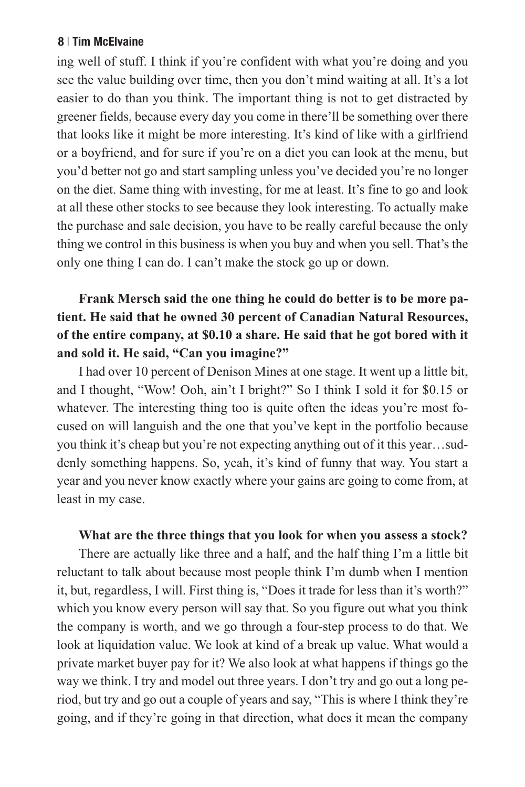ing well of stuff. I think if you're confident with what you're doing and you see the value building over time, then you don't mind waiting at all. It's a lot easier to do than you think. The important thing is not to get distracted by greener fields, because every day you come in there'll be something over there that looks like it might be more interesting. It's kind of like with a girlfriend or a boyfriend, and for sure if you're on a diet you can look at the menu, but you'd better not go and start sampling unless you've decided you're no longer on the diet. Same thing with investing, for me at least. It's fine to go and look at all these other stocks to see because they look interesting. To actually make the purchase and sale decision, you have to be really careful because the only thing we control in this business is when you buy and when you sell. That's the only one thing I can do. I can't make the stock go up or down.

# **Frank Mersch said the one thing he could do better is to be more patient. He said that he owned 30 percent of Canadian Natural Resources, of the entire company, at \$0.10 a share. He said that he got bored with it and sold it. He said, "Can you imagine?"**

I had over 10 percent of Denison Mines at one stage. It went up a little bit, and I thought, "Wow! Ooh, ain't I bright?" So I think I sold it for \$0.15 or whatever. The interesting thing too is quite often the ideas you're most focused on will languish and the one that you've kept in the portfolio because you think it's cheap but you're not expecting anything out of it this year…suddenly something happens. So, yeah, it's kind of funny that way. You start a year and you never know exactly where your gains are going to come from, at least in my case.

#### **What are the three things that you look for when you assess a stock?**

There are actually like three and a half, and the half thing I'm a little bit reluctant to talk about because most people think I'm dumb when I mention it, but, regardless, I will. First thing is, "Does it trade for less than it's worth?" which you know every person will say that. So you figure out what you think the company is worth, and we go through a four-step process to do that. We look at liquidation value. We look at kind of a break up value. What would a private market buyer pay for it? We also look at what happens if things go the way we think. I try and model out three years. I don't try and go out a long period, but try and go out a couple of years and say, "This is where I think they're going, and if they're going in that direction, what does it mean the company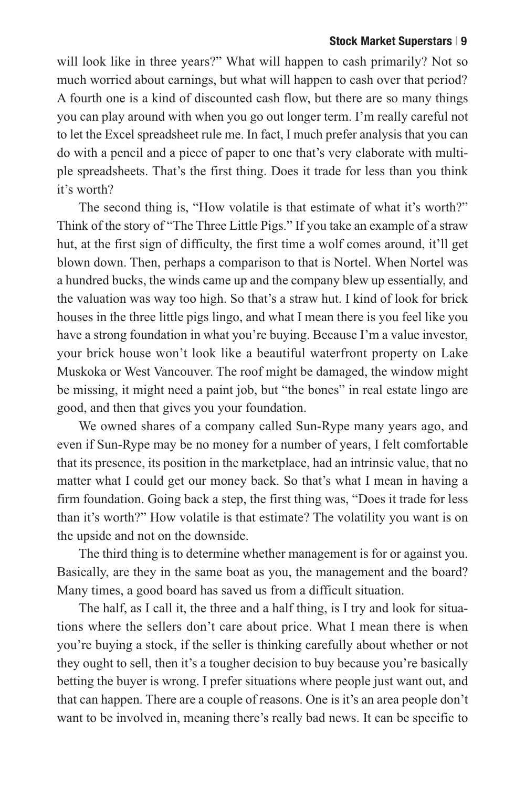will look like in three years?" What will happen to cash primarily? Not so much worried about earnings, but what will happen to cash over that period? A fourth one is a kind of discounted cash flow, but there are so many things you can play around with when you go out longer term. I'm really careful not to let the Excel spreadsheet rule me. In fact, I much prefer analysis that you can do with a pencil and a piece of paper to one that's very elaborate with multiple spreadsheets. That's the first thing. Does it trade for less than you think it's worth?

The second thing is, "How volatile is that estimate of what it's worth?" Think of the story of "The Three Little Pigs." If you take an example of a straw hut, at the first sign of difficulty, the first time a wolf comes around, it'll get blown down. Then, perhaps a comparison to that is Nortel. When Nortel was a hundred bucks, the winds came up and the company blew up essentially, and the valuation was way too high. So that's a straw hut. I kind of look for brick houses in the three little pigs lingo, and what I mean there is you feel like you have a strong foundation in what you're buying. Because I'm a value investor, your brick house won't look like a beautiful waterfront property on Lake Muskoka or West Vancouver. The roof might be damaged, the window might be missing, it might need a paint job, but "the bones" in real estate lingo are good, and then that gives you your foundation.

We owned shares of a company called Sun-Rype many years ago, and even if Sun-Rype may be no money for a number of years, I felt comfortable that its presence, its position in the marketplace, had an intrinsic value, that no matter what I could get our money back. So that's what I mean in having a firm foundation. Going back a step, the first thing was, "Does it trade for less than it's worth?" How volatile is that estimate? The volatility you want is on the upside and not on the downside.

The third thing is to determine whether management is for or against you. Basically, are they in the same boat as you, the management and the board? Many times, a good board has saved us from a difficult situation.

The half, as I call it, the three and a half thing, is I try and look for situations where the sellers don't care about price. What I mean there is when you're buying a stock, if the seller is thinking carefully about whether or not they ought to sell, then it's a tougher decision to buy because you're basically betting the buyer is wrong. I prefer situations where people just want out, and that can happen. There are a couple of reasons. One is it's an area people don't want to be involved in, meaning there's really bad news. It can be specific to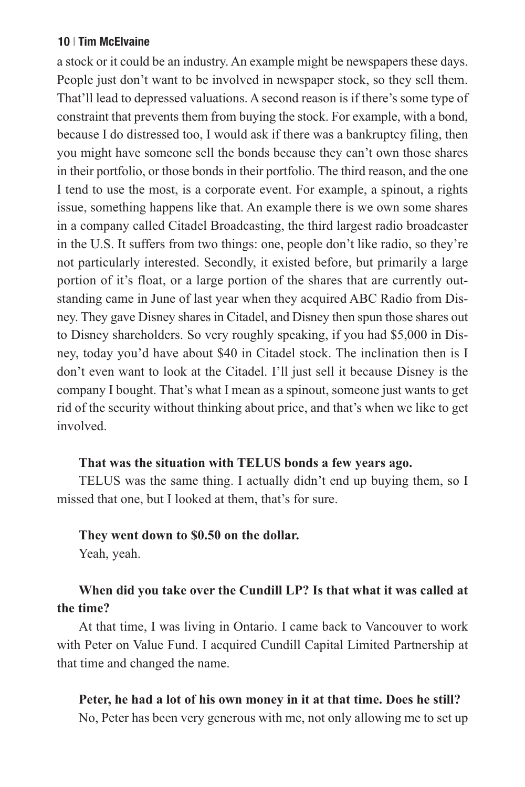a stock or it could be an industry. An example might be newspapers these days. People just don't want to be involved in newspaper stock, so they sell them. That'll lead to depressed valuations. A second reason is if there's some type of constraint that prevents them from buying the stock. For example, with a bond, because I do distressed too, I would ask if there was a bankruptcy filing, then you might have someone sell the bonds because they can't own those shares in their portfolio, or those bonds in their portfolio. The third reason, and the one I tend to use the most, is a corporate event. For example, a spinout, a rights issue, something happens like that. An example there is we own some shares in a company called Citadel Broadcasting, the third largest radio broadcaster in the U.S. It suffers from two things: one, people don't like radio, so they're not particularly interested. Secondly, it existed before, but primarily a large portion of it's float, or a large portion of the shares that are currently outstanding came in June of last year when they acquired ABC Radio from Disney. They gave Disney shares in Citadel, and Disney then spun those shares out to Disney shareholders. So very roughly speaking, if you had \$5,000 in Disney, today you'd have about \$40 in Citadel stock. The inclination then is I don't even want to look at the Citadel. I'll just sell it because Disney is the company I bought. That's what I mean as a spinout, someone just wants to get rid of the security without thinking about price, and that's when we like to get involved.

#### **That was the situation with TELUS bonds a few years ago.**

TELUS was the same thing. I actually didn't end up buying them, so I missed that one, but I looked at them, that's for sure.

#### **They went down to \$0.50 on the dollar.**

Yeah, yeah.

# **When did you take over the Cundill LP? Is that what it was called at the time?**

At that time, I was living in Ontario. I came back to Vancouver to work with Peter on Value Fund. I acquired Cundill Capital Limited Partnership at that time and changed the name.

#### **Peter, he had a lot of his own money in it at that time. Does he still?**

No, Peter has been very generous with me, not only allowing me to set up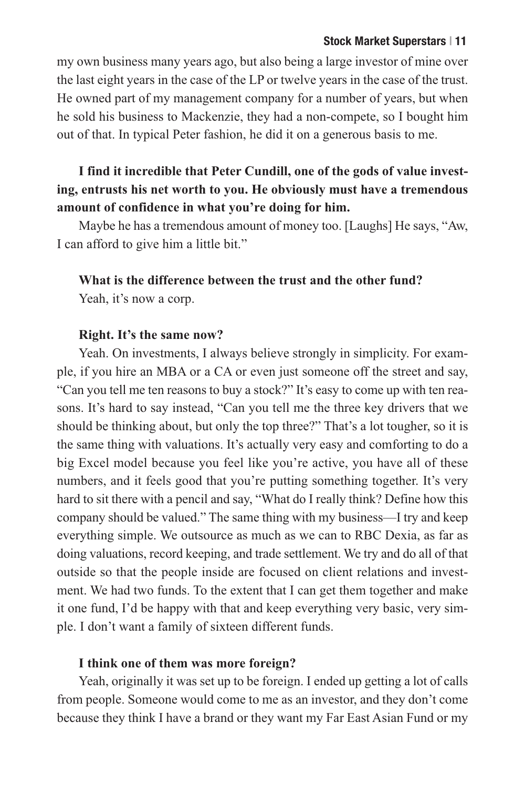my own business many years ago, but also being a large investor of mine over the last eight years in the case of the LP or twelve years in the case of the trust. He owned part of my management company for a number of years, but when he sold his business to Mackenzie, they had a non-compete, so I bought him out of that. In typical Peter fashion, he did it on a generous basis to me.

# **I find it incredible that Peter Cundill, one of the gods of value investing, entrusts his net worth to you. He obviously must have a tremendous amount of confidence in what you're doing for him.**

Maybe he has a tremendous amount of money too. [Laughs] He says, "Aw, I can afford to give him a little bit."

#### **What is the difference between the trust and the other fund?**

Yeah, it's now a corp.

#### **Right. It's the same now?**

Yeah. On investments, I always believe strongly in simplicity. For example, if you hire an MBA or a CA or even just someone off the street and say, "Can you tell me ten reasons to buy a stock?" It's easy to come up with ten reasons. It's hard to say instead, "Can you tell me the three key drivers that we should be thinking about, but only the top three?" That's a lot tougher, so it is the same thing with valuations. It's actually very easy and comforting to do a big Excel model because you feel like you're active, you have all of these numbers, and it feels good that you're putting something together. It's very hard to sit there with a pencil and say, "What do I really think? Define how this company should be valued." The same thing with my business—I try and keep everything simple. We outsource as much as we can to RBC Dexia, as far as doing valuations, record keeping, and trade settlement. We try and do all of that outside so that the people inside are focused on client relations and investment. We had two funds. To the extent that I can get them together and make it one fund, I'd be happy with that and keep everything very basic, very simple. I don't want a family of sixteen different funds.

#### **I think one of them was more foreign?**

Yeah, originally it was set up to be foreign. I ended up getting a lot of calls from people. Someone would come to me as an investor, and they don't come because they think I have a brand or they want my Far East Asian Fund or my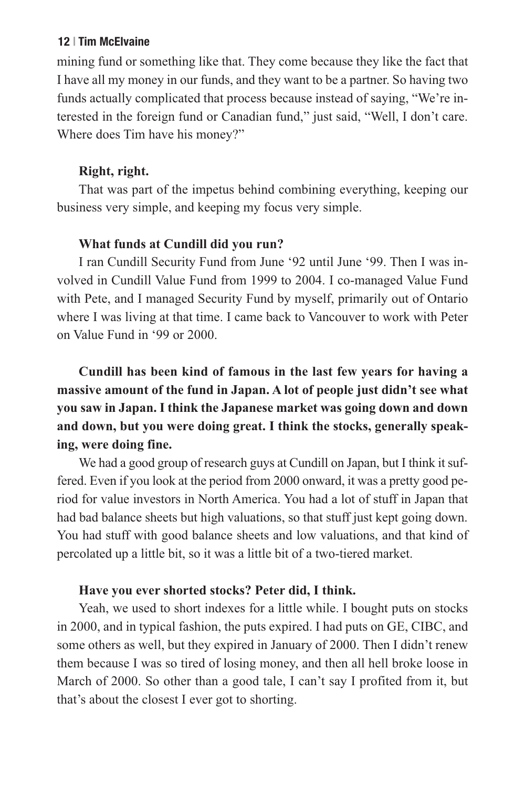mining fund or something like that. They come because they like the fact that I have all my money in our funds, and they want to be a partner. So having two funds actually complicated that process because instead of saying, "We're interested in the foreign fund or Canadian fund," just said, "Well, I don't care. Where does Tim have his money?"

#### **Right, right.**

That was part of the impetus behind combining everything, keeping our business very simple, and keeping my focus very simple.

#### **What funds at Cundill did you run?**

I ran Cundill Security Fund from June '92 until June '99. Then I was involved in Cundill Value Fund from 1999 to 2004. I co-managed Value Fund with Pete, and I managed Security Fund by myself, primarily out of Ontario where I was living at that time. I came back to Vancouver to work with Peter on Value Fund in '99 or 2000.

**Cundill has been kind of famous in the last few years for having a massive amount of the fund in Japan. A lot of people just didn't see what you saw in Japan. I think the Japanese market was going down and down and down, but you were doing great. I think the stocks, generally speaking, were doing fine.**

We had a good group of research guys at Cundill on Japan, but I think it suffered. Even if you look at the period from 2000 onward, it was a pretty good period for value investors in North America. You had a lot of stuff in Japan that had bad balance sheets but high valuations, so that stuff just kept going down. You had stuff with good balance sheets and low valuations, and that kind of percolated up a little bit, so it was a little bit of a two-tiered market.

#### **Have you ever shorted stocks? Peter did, I think.**

Yeah, we used to short indexes for a little while. I bought puts on stocks in 2000, and in typical fashion, the puts expired. I had puts on GE, CIBC, and some others as well, but they expired in January of 2000. Then I didn't renew them because I was so tired of losing money, and then all hell broke loose in March of 2000. So other than a good tale, I can't say I profited from it, but that's about the closest I ever got to shorting.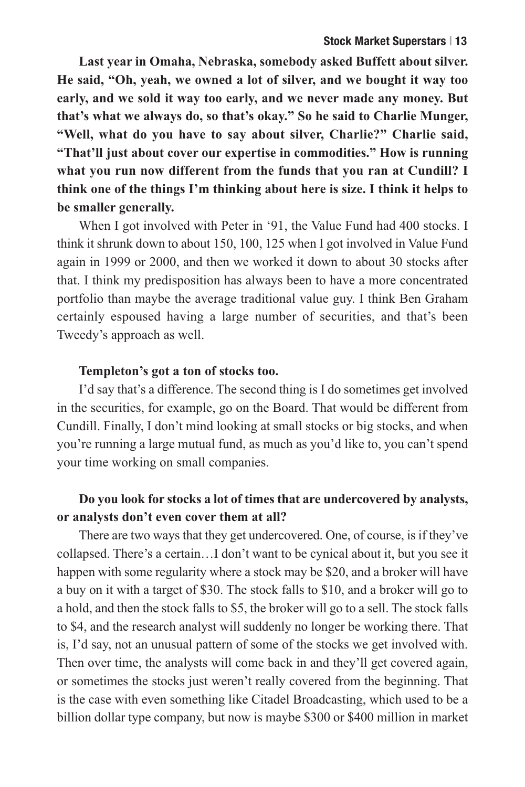**Last year in Omaha, Nebraska, somebody asked Buffett about silver. He said, "Oh, yeah, we owned a lot of silver, and we bought it way too early, and we sold it way too early, and we never made any money. But that's what we always do, so that's okay." So he said to Charlie Munger, "Well, what do you have to say about silver, Charlie?" Charlie said, "That'll just about cover our expertise in commodities." How is running what you run now different from the funds that you ran at Cundill? I think one of the things I'm thinking about here is size. I think it helps to be smaller generally.**

When I got involved with Peter in '91, the Value Fund had 400 stocks. I think it shrunk down to about 150, 100, 125 when I got involved in Value Fund again in 1999 or 2000, and then we worked it down to about 30 stocks after that. I think my predisposition has always been to have a more concentrated portfolio than maybe the average traditional value guy. I think Ben Graham certainly espoused having a large number of securities, and that's been Tweedy's approach as well.

#### **Templeton's got a ton of stocks too.**

I'd say that's a difference. The second thing is I do sometimes get involved in the securities, for example, go on the Board. That would be different from Cundill. Finally, I don't mind looking at small stocks or big stocks, and when you're running a large mutual fund, as much as you'd like to, you can't spend your time working on small companies.

# **Do you look for stocks a lot of times that are undercovered by analysts, or analysts don't even cover them at all?**

There are two ways that they get undercovered. One, of course, is if they've collapsed. There's a certain…I don't want to be cynical about it, but you see it happen with some regularity where a stock may be \$20, and a broker will have a buy on it with a target of \$30. The stock falls to \$10, and a broker will go to a hold, and then the stock falls to \$5, the broker will go to a sell. The stock falls to \$4, and the research analyst will suddenly no longer be working there. That is, I'd say, not an unusual pattern of some of the stocks we get involved with. Then over time, the analysts will come back in and they'll get covered again, or sometimes the stocks just weren't really covered from the beginning. That is the case with even something like Citadel Broadcasting, which used to be a billion dollar type company, but now is maybe \$300 or \$400 million in market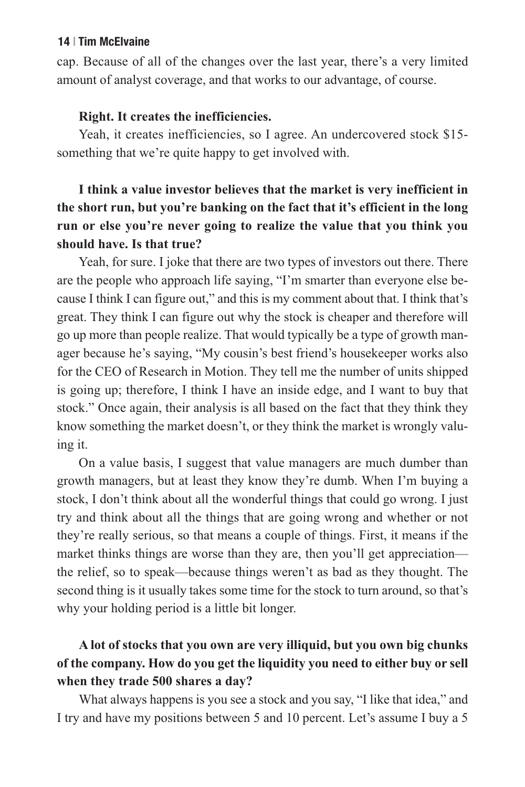cap. Because of all of the changes over the last year, there's a very limited amount of analyst coverage, and that works to our advantage, of course.

#### **Right. It creates the inefficiencies.**

Yeah, it creates inefficiencies, so I agree. An undercovered stock \$15something that we're quite happy to get involved with.

# **I think a value investor believes that the market is very inefficient in the short run, but you're banking on the fact that it's efficient in the long run or else you're never going to realize the value that you think you should have. Is that true?**

Yeah, for sure. I joke that there are two types of investors out there. There are the people who approach life saying, "I'm smarter than everyone else because I think I can figure out," and this is my comment about that. I think that's great. They think I can figure out why the stock is cheaper and therefore will go up more than people realize. That would typically be a type of growth manager because he's saying, "My cousin's best friend's housekeeper works also for the CEO of Research in Motion. They tell me the number of units shipped is going up; therefore, I think I have an inside edge, and I want to buy that stock." Once again, their analysis is all based on the fact that they think they know something the market doesn't, or they think the market is wrongly valuing it.

On a value basis, I suggest that value managers are much dumber than growth managers, but at least they know they're dumb. When I'm buying a stock, I don't think about all the wonderful things that could go wrong. I just try and think about all the things that are going wrong and whether or not they're really serious, so that means a couple of things. First, it means if the market thinks things are worse than they are, then you'll get appreciation the relief, so to speak—because things weren't as bad as they thought. The second thing is it usually takes some time for the stock to turn around, so that's why your holding period is a little bit longer.

# **A lot of stocks that you own are very illiquid, but you own big chunks of the company. How do you get the liquidity you need to either buy or sell when they trade 500 shares a day?**

What always happens is you see a stock and you say, "I like that idea," and I try and have my positions between 5 and 10 percent. Let's assume I buy a 5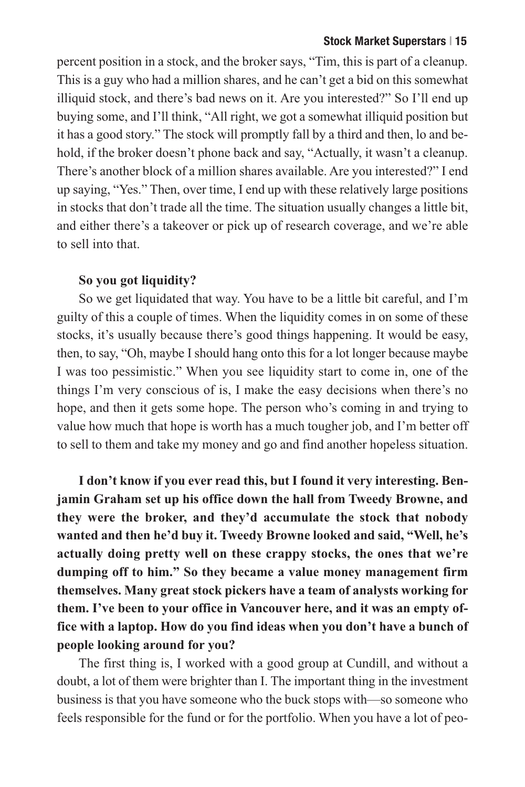percent position in a stock, and the broker says, "Tim, this is part of a cleanup. This is a guy who had a million shares, and he can't get a bid on this somewhat illiquid stock, and there's bad news on it. Are you interested?" So I'll end up buying some, and I'll think, "All right, we got a somewhat illiquid position but it has a good story." The stock will promptly fall by a third and then, lo and behold, if the broker doesn't phone back and say, "Actually, it wasn't a cleanup. There's another block of a million shares available. Are you interested?" I end up saying, "Yes." Then, over time, I end up with these relatively large positions in stocks that don't trade all the time. The situation usually changes a little bit, and either there's a takeover or pick up of research coverage, and we're able to sell into that.

#### **So you got liquidity?**

So we get liquidated that way. You have to be a little bit careful, and I'm guilty of this a couple of times. When the liquidity comes in on some of these stocks, it's usually because there's good things happening. It would be easy, then, to say, "Oh, maybe I should hang onto this for a lot longer because maybe I was too pessimistic." When you see liquidity start to come in, one of the things I'm very conscious of is, I make the easy decisions when there's no hope, and then it gets some hope. The person who's coming in and trying to value how much that hope is worth has a much tougher job, and I'm better off to sell to them and take my money and go and find another hopeless situation.

**I don't know if you ever read this, but I found it very interesting. Benjamin Graham set up his office down the hall from Tweedy Browne, and they were the broker, and they'd accumulate the stock that nobody wanted and then he'd buy it. Tweedy Browne looked and said, "Well, he's actually doing pretty well on these crappy stocks, the ones that we're dumping off to him." So they became a value money management firm themselves. Many great stock pickers have a team of analysts working for them. I've been to your office in Vancouver here, and it was an empty office with a laptop. How do you find ideas when you don't have a bunch of people looking around for you?**

The first thing is, I worked with a good group at Cundill, and without a doubt, a lot of them were brighter than I. The important thing in the investment business is that you have someone who the buck stops with—so someone who feels responsible for the fund or for the portfolio. When you have a lot of peo-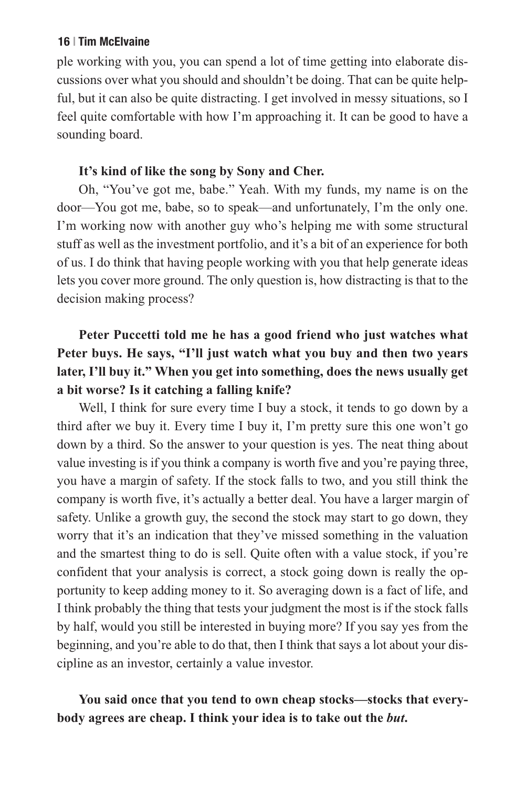ple working with you, you can spend a lot of time getting into elaborate discussions over what you should and shouldn't be doing. That can be quite helpful, but it can also be quite distracting. I get involved in messy situations, so I feel quite comfortable with how I'm approaching it. It can be good to have a sounding board.

#### **It's kind of like the song by Sony and Cher.**

Oh, "You've got me, babe." Yeah. With my funds, my name is on the door—You got me, babe, so to speak—and unfortunately, I'm the only one. I'm working now with another guy who's helping me with some structural stuff as well as the investment portfolio, and it's a bit of an experience for both of us. I do think that having people working with you that help generate ideas lets you cover more ground. The only question is, how distracting is that to the decision making process?

# **Peter Puccetti told me he has a good friend who just watches what Peter buys. He says, "I'll just watch what you buy and then two years later, I'll buy it." When you get into something, does the news usually get a bit worse? Is it catching a falling knife?**

Well, I think for sure every time I buy a stock, it tends to go down by a third after we buy it. Every time I buy it, I'm pretty sure this one won't go down by a third. So the answer to your question is yes. The neat thing about value investing is if you think a company is worth five and you're paying three, you have a margin of safety. If the stock falls to two, and you still think the company is worth five, it's actually a better deal. You have a larger margin of safety. Unlike a growth guy, the second the stock may start to go down, they worry that it's an indication that they've missed something in the valuation and the smartest thing to do is sell. Quite often with a value stock, if you're confident that your analysis is correct, a stock going down is really the opportunity to keep adding money to it. So averaging down is a fact of life, and I think probably the thing that tests your judgment the most is if the stock falls by half, would you still be interested in buying more? If you say yes from the beginning, and you're able to do that, then I think that says a lot about your discipline as an investor, certainly a value investor.

# **You said once that you tend to own cheap stocks—stocks that everybody agrees are cheap. I think your idea is to take out the** *but***.**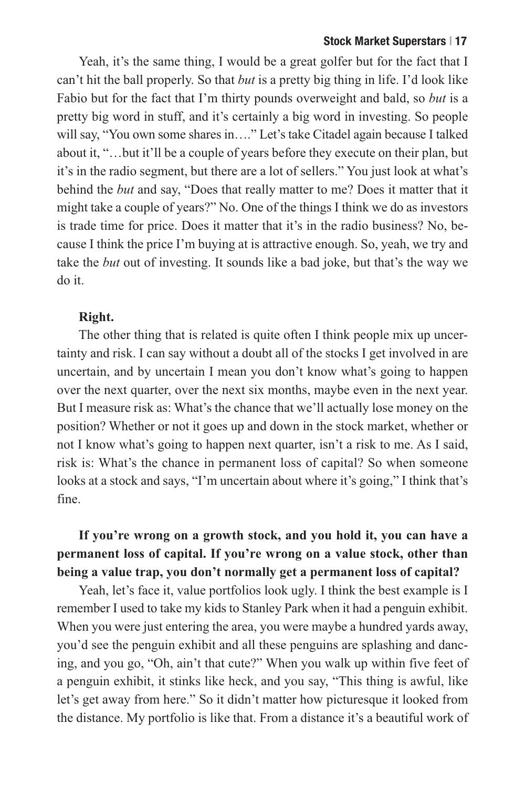#### **Stock Market Superstars | 17**

Yeah, it's the same thing, I would be a great golfer but for the fact that I can't hit the ball properly. So that *but* is a pretty big thing in life. I'd look like Fabio but for the fact that I'm thirty pounds overweight and bald, so *but* is a pretty big word in stuff, and it's certainly a big word in investing. So people will say, "You own some shares in…." Let's take Citadel again because I talked about it, "…but it'll be a couple of years before they execute on their plan, but it's in the radio segment, but there are a lot of sellers." You just look at what's behind the *but* and say, "Does that really matter to me? Does it matter that it might take a couple of years?" No. One of the things I think we do as investors is trade time for price. Does it matter that it's in the radio business? No, because I think the price I'm buying at is attractive enough. So, yeah, we try and take the *but* out of investing. It sounds like a bad joke, but that's the way we do it.

#### **Right.**

The other thing that is related is quite often I think people mix up uncertainty and risk. I can say without a doubt all of the stocks I get involved in are uncertain, and by uncertain I mean you don't know what's going to happen over the next quarter, over the next six months, maybe even in the next year. But I measure risk as: What's the chance that we'll actually lose money on the position? Whether or not it goes up and down in the stock market, whether or not I know what's going to happen next quarter, isn't a risk to me. As I said, risk is: What's the chance in permanent loss of capital? So when someone looks at a stock and says, "I'm uncertain about where it's going," I think that's fine.

# **If you're wrong on a growth stock, and you hold it, you can have a permanent loss of capital. If you're wrong on a value stock, other than being a value trap, you don't normally get a permanent loss of capital?**

Yeah, let's face it, value portfolios look ugly. I think the best example is I remember I used to take my kids to Stanley Park when it had a penguin exhibit. When you were just entering the area, you were maybe a hundred yards away, you'd see the penguin exhibit and all these penguins are splashing and dancing, and you go, "Oh, ain't that cute?" When you walk up within five feet of a penguin exhibit, it stinks like heck, and you say, "This thing is awful, like let's get away from here." So it didn't matter how picturesque it looked from the distance. My portfolio is like that. From a distance it's a beautiful work of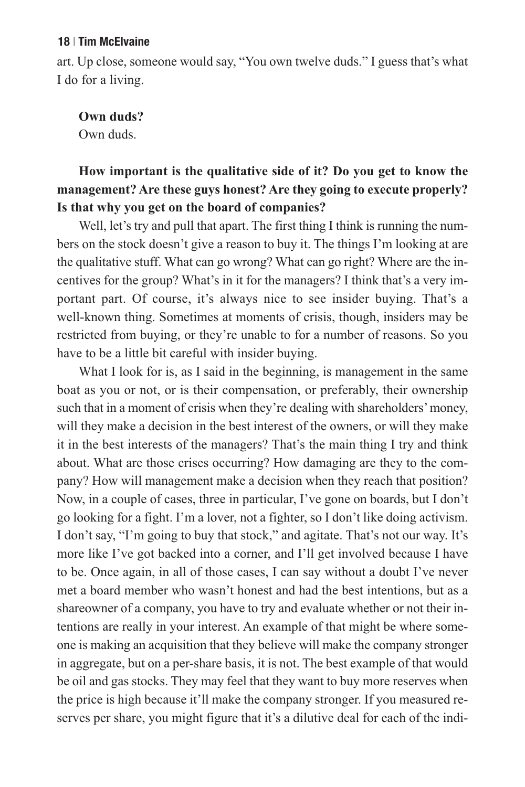art. Up close, someone would say, "You own twelve duds." I guess that's what I do for a living.

**Own duds?** Own duds.

# **How important is the qualitative side of it? Do you get to know the management? Are these guys honest? Are they going to execute properly? Is that why you get on the board of companies?**

Well, let's try and pull that apart. The first thing I think is running the numbers on the stock doesn't give a reason to buy it. The things I'm looking at are the qualitative stuff. What can go wrong? What can go right? Where are the incentives for the group? What's in it for the managers? I think that's a very important part. Of course, it's always nice to see insider buying. That's a well-known thing. Sometimes at moments of crisis, though, insiders may be restricted from buying, or they're unable to for a number of reasons. So you have to be a little bit careful with insider buying.

What I look for is, as I said in the beginning, is management in the same boat as you or not, or is their compensation, or preferably, their ownership such that in a moment of crisis when they're dealing with shareholders' money, will they make a decision in the best interest of the owners, or will they make it in the best interests of the managers? That's the main thing I try and think about. What are those crises occurring? How damaging are they to the company? How will management make a decision when they reach that position? Now, in a couple of cases, three in particular, I've gone on boards, but I don't go looking for a fight. I'm a lover, not a fighter, so I don't like doing activism. I don't say, "I'm going to buy that stock," and agitate. That's not our way. It's more like I've got backed into a corner, and I'll get involved because I have to be. Once again, in all of those cases, I can say without a doubt I've never met a board member who wasn't honest and had the best intentions, but as a shareowner of a company, you have to try and evaluate whether or not their intentions are really in your interest. An example of that might be where someone is making an acquisition that they believe will make the company stronger in aggregate, but on a per-share basis, it is not. The best example of that would be oil and gas stocks. They may feel that they want to buy more reserves when the price is high because it'll make the company stronger. If you measured reserves per share, you might figure that it's a dilutive deal for each of the indi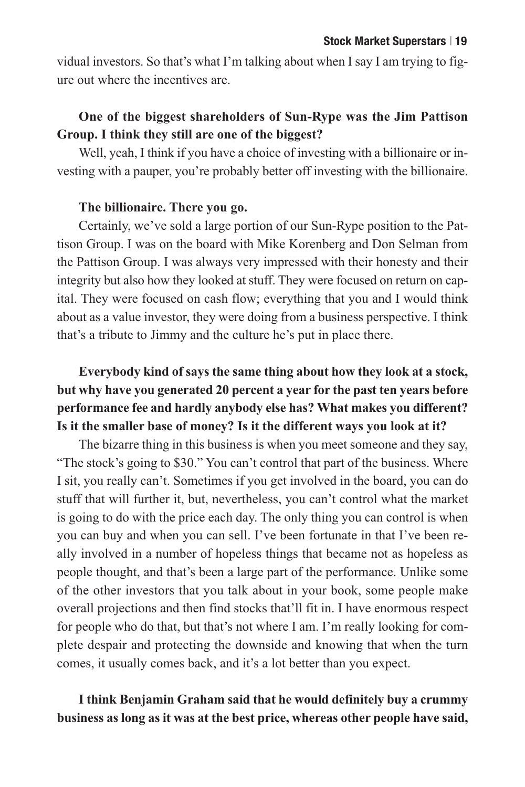vidual investors. So that's what I'm talking about when I say I am trying to figure out where the incentives are.

# **One of the biggest shareholders of Sun-Rype was the Jim Pattison Group. I think they still are one of the biggest?**

Well, yeah, I think if you have a choice of investing with a billionaire or investing with a pauper, you're probably better off investing with the billionaire.

#### **The billionaire. There you go.**

Certainly, we've sold a large portion of our Sun-Rype position to the Pattison Group. I was on the board with Mike Korenberg and Don Selman from the Pattison Group. I was always very impressed with their honesty and their integrity but also how they looked at stuff. They were focused on return on capital. They were focused on cash flow; everything that you and I would think about as a value investor, they were doing from a business perspective. I think that's a tribute to Jimmy and the culture he's put in place there.

# **Everybody kind of says the same thing about how they look at a stock, but why have you generated 20 percent a year for the past ten years before performance fee and hardly anybody else has? What makes you different? Is it the smaller base of money? Is it the different ways you look at it?**

The bizarre thing in this business is when you meet someone and they say, "The stock's going to \$30." You can't control that part of the business. Where I sit, you really can't. Sometimes if you get involved in the board, you can do stuff that will further it, but, nevertheless, you can't control what the market is going to do with the price each day. The only thing you can control is when you can buy and when you can sell. I've been fortunate in that I've been really involved in a number of hopeless things that became not as hopeless as people thought, and that's been a large part of the performance. Unlike some of the other investors that you talk about in your book, some people make overall projections and then find stocks that'll fit in. I have enormous respect for people who do that, but that's not where I am. I'm really looking for complete despair and protecting the downside and knowing that when the turn comes, it usually comes back, and it's a lot better than you expect.

**I think Benjamin Graham said that he would definitely buy a crummy business as long as it was at the best price, whereas other people have said,**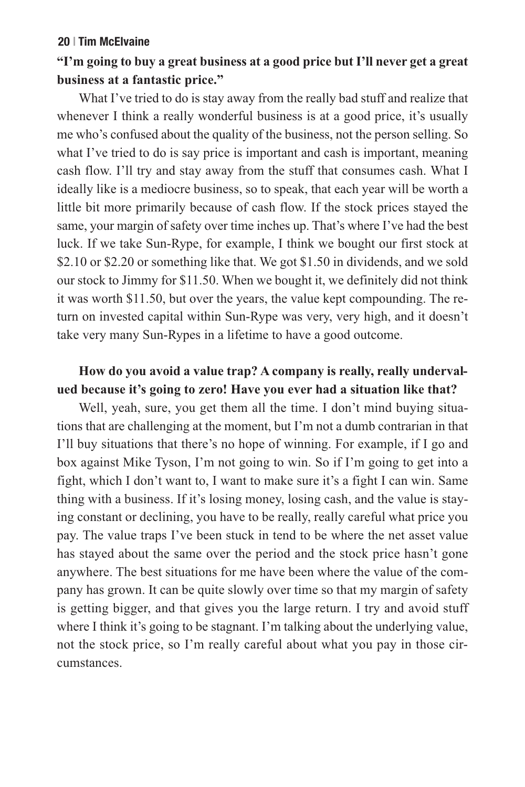# **"I'm going to buy a great business at a good price but I'll never get a great business at a fantastic price."**

What I've tried to do is stay away from the really bad stuff and realize that whenever I think a really wonderful business is at a good price, it's usually me who's confused about the quality of the business, not the person selling. So what I've tried to do is say price is important and cash is important, meaning cash flow. I'll try and stay away from the stuff that consumes cash. What I ideally like is a mediocre business, so to speak, that each year will be worth a little bit more primarily because of cash flow. If the stock prices stayed the same, your margin of safety over time inches up. That's where I've had the best luck. If we take Sun-Rype, for example, I think we bought our first stock at \$2.10 or \$2.20 or something like that. We got \$1.50 in dividends, and we sold our stock to Jimmy for \$11.50. When we bought it, we definitely did not think it was worth \$11.50, but over the years, the value kept compounding. The return on invested capital within Sun-Rype was very, very high, and it doesn't take very many Sun-Rypes in a lifetime to have a good outcome.

# **How do you avoid a value trap? A company is really, really undervalued because it's going to zero! Have you ever had a situation like that?**

Well, yeah, sure, you get them all the time. I don't mind buying situations that are challenging at the moment, but I'm not a dumb contrarian in that I'll buy situations that there's no hope of winning. For example, if I go and box against Mike Tyson, I'm not going to win. So if I'm going to get into a fight, which I don't want to, I want to make sure it's a fight I can win. Same thing with a business. If it's losing money, losing cash, and the value is staying constant or declining, you have to be really, really careful what price you pay. The value traps I've been stuck in tend to be where the net asset value has stayed about the same over the period and the stock price hasn't gone anywhere. The best situations for me have been where the value of the company has grown. It can be quite slowly over time so that my margin of safety is getting bigger, and that gives you the large return. I try and avoid stuff where I think it's going to be stagnant. I'm talking about the underlying value, not the stock price, so I'm really careful about what you pay in those circumstances.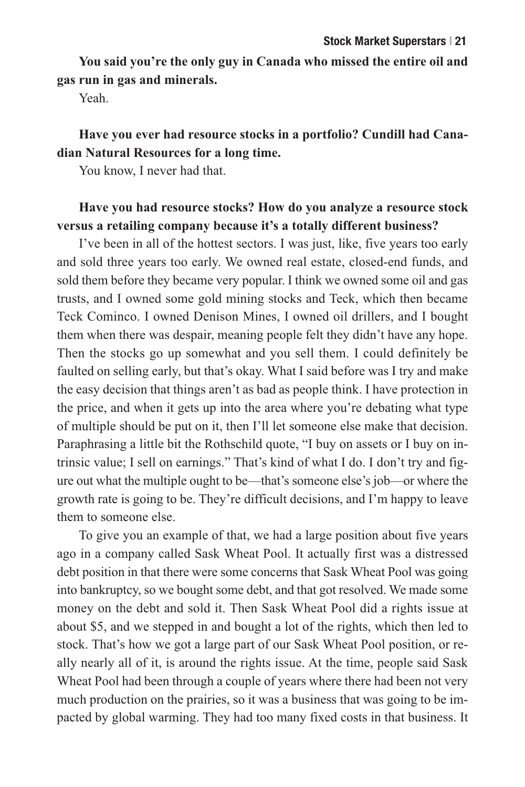**You said you're the only guy in Canada who missed the entire oil and gas run in gas and minerals.**

Yeah.

# **Have you ever had resource stocks in a portfolio? Cundill had Canadian Natural Resources for a long time.**

You know, I never had that.

# **Have you had resource stocks? How do you analyze a resource stock versus a retailing company because it's a totally different business?**

I've been in all of the hottest sectors. I was just, like, five years too early and sold three years too early. We owned real estate, closed-end funds, and sold them before they became very popular. I think we owned some oil and gas trusts, and I owned some gold mining stocks and Teck, which then became Teck Cominco. I owned Denison Mines, I owned oil drillers, and I bought them when there was despair, meaning people felt they didn't have any hope. Then the stocks go up somewhat and you sell them. I could definitely be faulted on selling early, but that's okay. What I said before was I try and make the easy decision that things aren't as bad as people think. I have protection in the price, and when it gets up into the area where you're debating what type of multiple should be put on it, then I'll let someone else make that decision. Paraphrasing a little bit the Rothschild quote, "I buy on assets or I buy on intrinsic value; I sell on earnings." That's kind of what I do. I don't try and figure out what the multiple ought to be—that's someone else's job—or where the growth rate is going to be. They're difficult decisions, and I'm happy to leave them to someone else.

To give you an example of that, we had a large position about five years ago in a company called Sask Wheat Pool. It actually first was a distressed debt position in that there were some concerns that Sask Wheat Pool was going into bankruptcy, so we bought some debt, and that got resolved. We made some money on the debt and sold it. Then Sask Wheat Pool did a rights issue at about \$5, and we stepped in and bought a lot of the rights, which then led to stock. That's how we got a large part of our Sask Wheat Pool position, or really nearly all of it, is around the rights issue. At the time, people said Sask Wheat Pool had been through a couple of years where there had been not very much production on the prairies, so it was a business that was going to be impacted by global warming. They had too many fixed costs in that business. It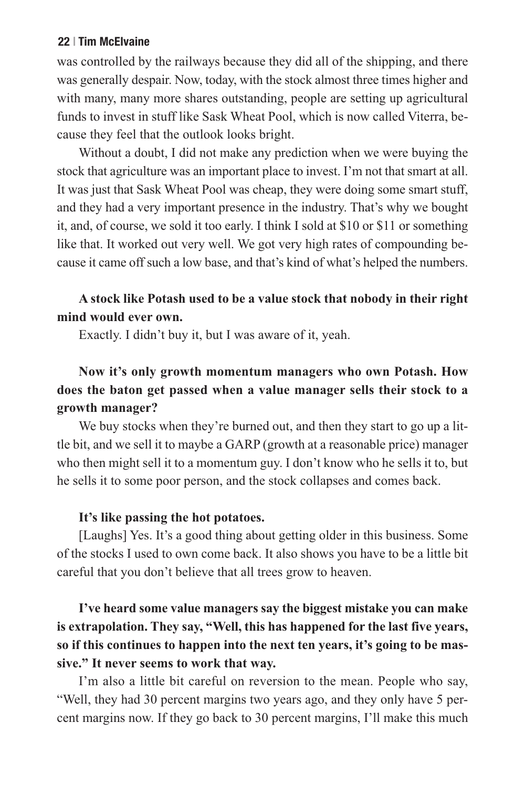was controlled by the railways because they did all of the shipping, and there was generally despair. Now, today, with the stock almost three times higher and with many, many more shares outstanding, people are setting up agricultural funds to invest in stuff like Sask Wheat Pool, which is now called Viterra, because they feel that the outlook looks bright.

Without a doubt, I did not make any prediction when we were buying the stock that agriculture was an important place to invest. I'm not that smart at all. It was just that Sask Wheat Pool was cheap, they were doing some smart stuff, and they had a very important presence in the industry. That's why we bought it, and, of course, we sold it too early. I think I sold at \$10 or \$11 or something like that. It worked out very well. We got very high rates of compounding because it came off such a low base, and that's kind of what's helped the numbers.

# **A stock like Potash used to be a value stock that nobody in their right mind would ever own.**

Exactly. I didn't buy it, but I was aware of it, yeah.

# **Now it's only growth momentum managers who own Potash. How does the baton get passed when a value manager sells their stock to a growth manager?**

We buy stocks when they're burned out, and then they start to go up a little bit, and we sell it to maybe a GARP (growth at a reasonable price) manager who then might sell it to a momentum guy. I don't know who he sells it to, but he sells it to some poor person, and the stock collapses and comes back.

#### **It's like passing the hot potatoes.**

[Laughs] Yes. It's a good thing about getting older in this business. Some of the stocks I used to own come back. It also shows you have to be a little bit careful that you don't believe that all trees grow to heaven.

# **I've heard some value managers say the biggest mistake you can make is extrapolation. They say, "Well, this has happened for the last five years, so if this continues to happen into the next ten years, it's going to be massive." It never seems to work that way.**

I'm also a little bit careful on reversion to the mean. People who say, "Well, they had 30 percent margins two years ago, and they only have 5 percent margins now. If they go back to 30 percent margins, I'll make this much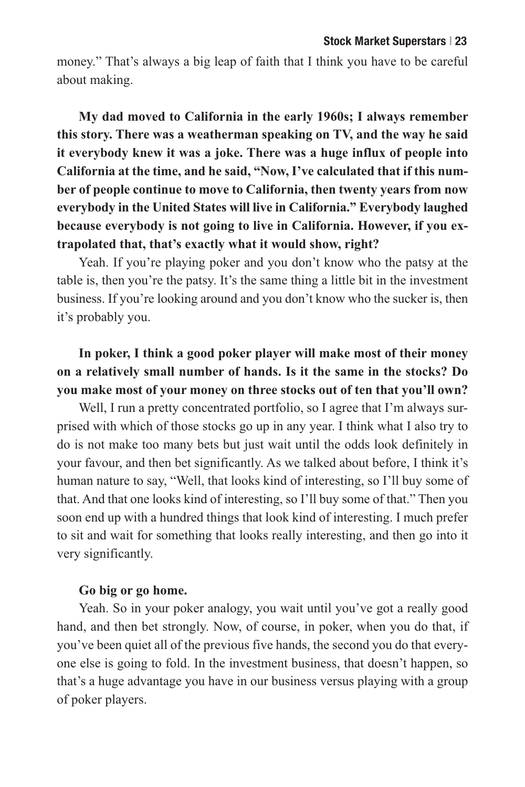money." That's always a big leap of faith that I think you have to be careful about making.

**My dad moved to California in the early 1960s; I always remember this story. There was a weatherman speaking on TV, and the way he said it everybody knew it was a joke. There was a huge influx of people into California at the time, and he said, "Now, I've calculated that if this number of people continue to move to California, then twenty years from now everybody in the United States will live in California." Everybody laughed because everybody is not going to live in California. However, if you extrapolated that, that's exactly what it would show, right?**

Yeah. If you're playing poker and you don't know who the patsy at the table is, then you're the patsy. It's the same thing a little bit in the investment business. If you're looking around and you don't know who the sucker is, then it's probably you.

# **In poker, I think a good poker player will make most of their money on a relatively small number of hands. Is it the same in the stocks? Do you make most of your money on three stocks out of ten that you'll own?**

Well, I run a pretty concentrated portfolio, so I agree that I'm always surprised with which of those stocks go up in any year. I think what I also try to do is not make too many bets but just wait until the odds look definitely in your favour, and then bet significantly. As we talked about before, I think it's human nature to say, "Well, that looks kind of interesting, so I'll buy some of that. And that one looks kind of interesting, so I'll buy some of that." Then you soon end up with a hundred things that look kind of interesting. I much prefer to sit and wait for something that looks really interesting, and then go into it very significantly.

#### **Go big or go home.**

Yeah. So in your poker analogy, you wait until you've got a really good hand, and then bet strongly. Now, of course, in poker, when you do that, if you've been quiet all of the previous five hands, the second you do that everyone else is going to fold. In the investment business, that doesn't happen, so that's a huge advantage you have in our business versus playing with a group of poker players.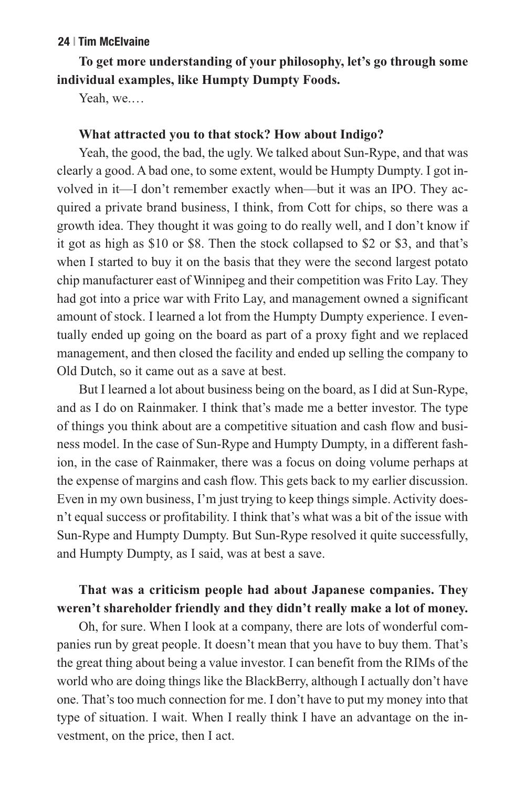**To get more understanding of your philosophy, let's go through some individual examples, like Humpty Dumpty Foods.**

Yeah, we.…

#### **What attracted you to that stock? How about Indigo?**

Yeah, the good, the bad, the ugly. We talked about Sun-Rype, and that was clearly a good. A bad one, to some extent, would be Humpty Dumpty. I got involved in it—I don't remember exactly when—but it was an IPO. They acquired a private brand business, I think, from Cott for chips, so there was a growth idea. They thought it was going to do really well, and I don't know if it got as high as \$10 or \$8. Then the stock collapsed to \$2 or \$3, and that's when I started to buy it on the basis that they were the second largest potato chip manufacturer east of Winnipeg and their competition was Frito Lay. They had got into a price war with Frito Lay, and management owned a significant amount of stock. I learned a lot from the Humpty Dumpty experience. I eventually ended up going on the board as part of a proxy fight and we replaced management, and then closed the facility and ended up selling the company to Old Dutch, so it came out as a save at best.

But I learned a lot about business being on the board, as I did at Sun-Rype, and as I do on Rainmaker. I think that's made me a better investor. The type of things you think about are a competitive situation and cash flow and business model. In the case of Sun-Rype and Humpty Dumpty, in a different fashion, in the case of Rainmaker, there was a focus on doing volume perhaps at the expense of margins and cash flow. This gets back to my earlier discussion. Even in my own business, I'm just trying to keep things simple. Activity doesn't equal success or profitability. I think that's what was a bit of the issue with Sun-Rype and Humpty Dumpty. But Sun-Rype resolved it quite successfully, and Humpty Dumpty, as I said, was at best a save.

# **That was a criticism people had about Japanese companies. They weren't shareholder friendly and they didn't really make a lot of money.**

Oh, for sure. When I look at a company, there are lots of wonderful companies run by great people. It doesn't mean that you have to buy them. That's the great thing about being a value investor. I can benefit from the RIMs of the world who are doing things like the BlackBerry, although I actually don't have one. That's too much connection for me. I don't have to put my money into that type of situation. I wait. When I really think I have an advantage on the investment, on the price, then I act.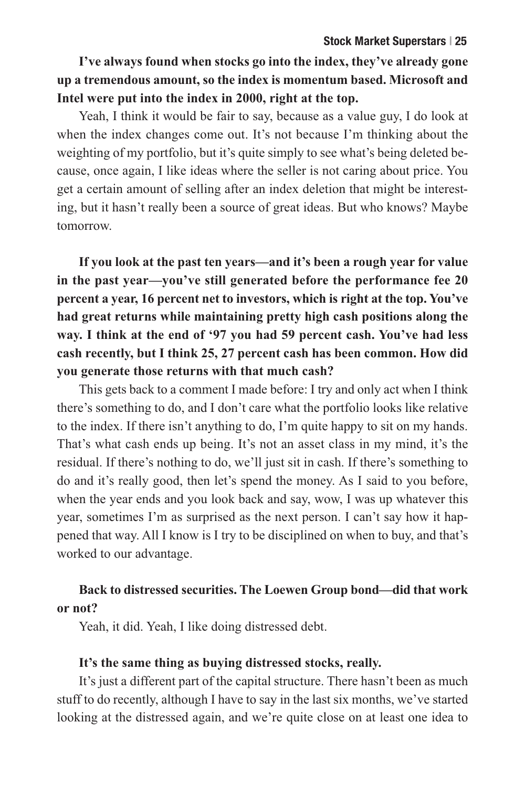**I've always found when stocks go into the index, they've already gone up a tremendous amount, so the index is momentum based. Microsoft and Intel were put into the index in 2000, right at the top.**

Yeah, I think it would be fair to say, because as a value guy, I do look at when the index changes come out. It's not because I'm thinking about the weighting of my portfolio, but it's quite simply to see what's being deleted because, once again, I like ideas where the seller is not caring about price. You get a certain amount of selling after an index deletion that might be interesting, but it hasn't really been a source of great ideas. But who knows? Maybe tomorrow.

**If you look at the past ten years—and it's been a rough year for value in the past year—you've still generated before the performance fee 20 percent a year, 16 percent net to investors, which is right at the top. You've had great returns while maintaining pretty high cash positions along the way. I think at the end of '97 you had 59 percent cash. You've had less cash recently, but I think 25, 27 percent cash has been common. How did you generate those returns with that much cash?**

This gets back to a comment I made before: I try and only act when I think there's something to do, and I don't care what the portfolio looks like relative to the index. If there isn't anything to do, I'm quite happy to sit on my hands. That's what cash ends up being. It's not an asset class in my mind, it's the residual. If there's nothing to do, we'll just sit in cash. If there's something to do and it's really good, then let's spend the money. As I said to you before, when the year ends and you look back and say, wow, I was up whatever this year, sometimes I'm as surprised as the next person. I can't say how it happened that way. All I know is I try to be disciplined on when to buy, and that's worked to our advantage.

### **Back to distressed securities. The Loewen Group bond—did that work or not?**

Yeah, it did. Yeah, I like doing distressed debt.

#### **It's the same thing as buying distressed stocks, really.**

It's just a different part of the capital structure. There hasn't been as much stuff to do recently, although I have to say in the last six months, we've started looking at the distressed again, and we're quite close on at least one idea to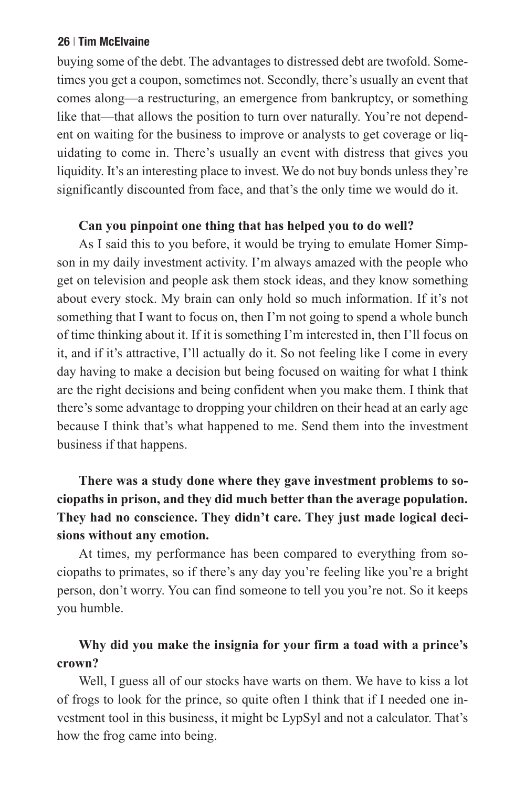buying some of the debt. The advantages to distressed debt are twofold. Sometimes you get a coupon, sometimes not. Secondly, there's usually an event that comes along—a restructuring, an emergence from bankruptcy, or something like that—that allows the position to turn over naturally. You're not dependent on waiting for the business to improve or analysts to get coverage or liquidating to come in. There's usually an event with distress that gives you liquidity. It's an interesting place to invest. We do not buy bonds unless they're significantly discounted from face, and that's the only time we would do it.

#### **Can you pinpoint one thing that has helped you to do well?**

As I said this to you before, it would be trying to emulate Homer Simpson in my daily investment activity. I'm always amazed with the people who get on television and people ask them stock ideas, and they know something about every stock. My brain can only hold so much information. If it's not something that I want to focus on, then I'm not going to spend a whole bunch of time thinking about it. If it is something I'm interested in, then I'll focus on it, and if it's attractive, I'll actually do it. So not feeling like I come in every day having to make a decision but being focused on waiting for what I think are the right decisions and being confident when you make them. I think that there's some advantage to dropping your children on their head at an early age because I think that's what happened to me. Send them into the investment business if that happens.

# **There was a study done where they gave investment problems to sociopaths in prison, and they did much better than the average population. They had no conscience. They didn't care. They just made logical decisions without any emotion.**

At times, my performance has been compared to everything from sociopaths to primates, so if there's any day you're feeling like you're a bright person, don't worry. You can find someone to tell you you're not. So it keeps you humble.

# **Why did you make the insignia for your firm a toad with a prince's crown?**

Well, I guess all of our stocks have warts on them. We have to kiss a lot of frogs to look for the prince, so quite often I think that if I needed one investment tool in this business, it might be LypSyl and not a calculator. That's how the frog came into being.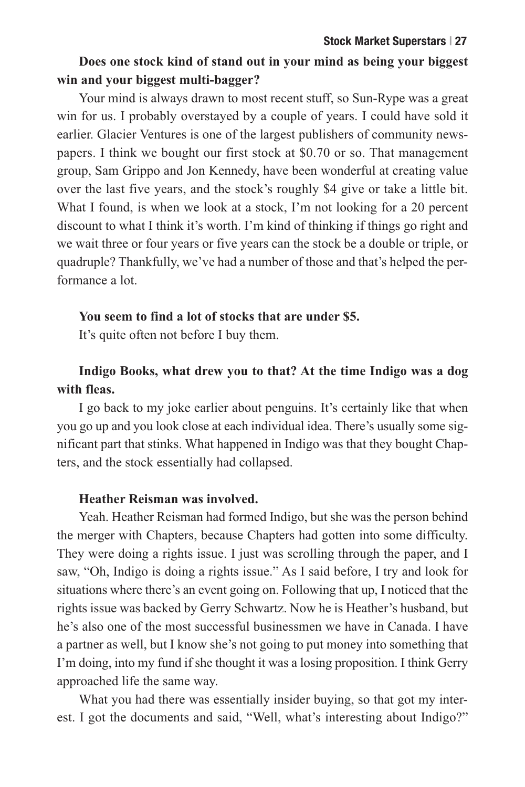# **Does one stock kind of stand out in your mind as being your biggest win and your biggest multi-bagger?**

Your mind is always drawn to most recent stuff, so Sun-Rype was a great win for us. I probably overstayed by a couple of years. I could have sold it earlier. Glacier Ventures is one of the largest publishers of community newspapers. I think we bought our first stock at \$0.70 or so. That management group, Sam Grippo and Jon Kennedy, have been wonderful at creating value over the last five years, and the stock's roughly \$4 give or take a little bit. What I found, is when we look at a stock, I'm not looking for a 20 percent discount to what I think it's worth. I'm kind of thinking if things go right and we wait three or four years or five years can the stock be a double or triple, or quadruple? Thankfully, we've had a number of those and that's helped the performance a lot.

#### **You seem to find a lot of stocks that are under \$5.**

It's quite often not before I buy them.

# **Indigo Books, what drew you to that? At the time Indigo was a dog with fleas.**

I go back to my joke earlier about penguins. It's certainly like that when you go up and you look close at each individual idea. There's usually some significant part that stinks. What happened in Indigo was that they bought Chapters, and the stock essentially had collapsed.

#### **Heather Reisman was involved.**

Yeah. Heather Reisman had formed Indigo, but she was the person behind the merger with Chapters, because Chapters had gotten into some difficulty. They were doing a rights issue. I just was scrolling through the paper, and I saw, "Oh, Indigo is doing a rights issue." As I said before, I try and look for situations where there's an event going on. Following that up, I noticed that the rights issue was backed by Gerry Schwartz. Now he is Heather's husband, but he's also one of the most successful businessmen we have in Canada. I have a partner as well, but I know she's not going to put money into something that I'm doing, into my fund if she thought it was a losing proposition. I think Gerry approached life the same way.

What you had there was essentially insider buying, so that got my interest. I got the documents and said, "Well, what's interesting about Indigo?"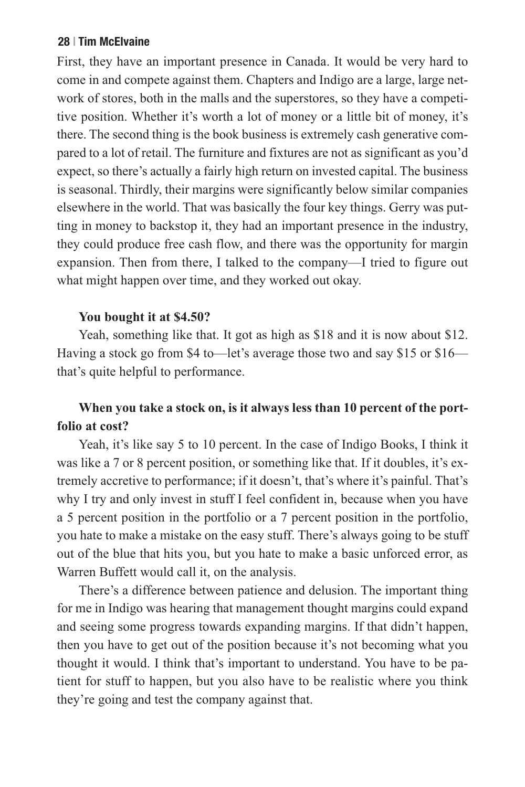First, they have an important presence in Canada. It would be very hard to come in and compete against them. Chapters and Indigo are a large, large network of stores, both in the malls and the superstores, so they have a competitive position. Whether it's worth a lot of money or a little bit of money, it's there. The second thing is the book business is extremely cash generative compared to a lot of retail. The furniture and fixtures are not as significant as you'd expect, so there's actually a fairly high return on invested capital. The business is seasonal. Thirdly, their margins were significantly below similar companies elsewhere in the world. That was basically the four key things. Gerry was putting in money to backstop it, they had an important presence in the industry, they could produce free cash flow, and there was the opportunity for margin expansion. Then from there, I talked to the company—I tried to figure out what might happen over time, and they worked out okay.

#### **You bought it at \$4.50?**

Yeah, something like that. It got as high as \$18 and it is now about \$12. Having a stock go from \$4 to—let's average those two and say \$15 or \$16 that's quite helpful to performance.

# **When you take a stock on, is it always less than 10 percent of the portfolio at cost?**

Yeah, it's like say 5 to 10 percent. In the case of Indigo Books, I think it was like a 7 or 8 percent position, or something like that. If it doubles, it's extremely accretive to performance; if it doesn't, that's where it's painful. That's why I try and only invest in stuff I feel confident in, because when you have a 5 percent position in the portfolio or a 7 percent position in the portfolio, you hate to make a mistake on the easy stuff. There's always going to be stuff out of the blue that hits you, but you hate to make a basic unforced error, as Warren Buffett would call it, on the analysis.

There's a difference between patience and delusion. The important thing for me in Indigo was hearing that management thought margins could expand and seeing some progress towards expanding margins. If that didn't happen, then you have to get out of the position because it's not becoming what you thought it would. I think that's important to understand. You have to be patient for stuff to happen, but you also have to be realistic where you think they're going and test the company against that.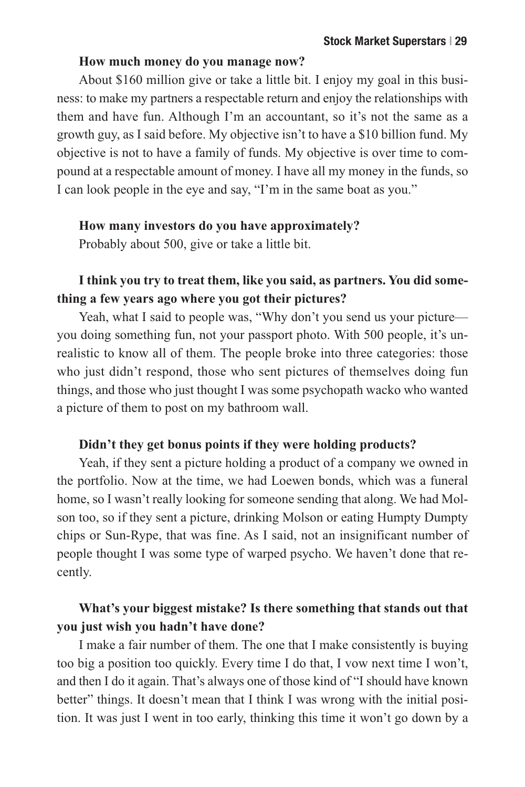#### **How much money do you manage now?**

About \$160 million give or take a little bit. I enjoy my goal in this business: to make my partners a respectable return and enjoy the relationships with them and have fun. Although I'm an accountant, so it's not the same as a growth guy, as I said before. My objective isn't to have a \$10 billion fund. My objective is not to have a family of funds. My objective is over time to compound at a respectable amount of money. I have all my money in the funds, so I can look people in the eye and say, "I'm in the same boat as you."

#### **How many investors do you have approximately?**

Probably about 500, give or take a little bit.

# **I think you try to treat them, like you said, as partners. You did something a few years ago where you got their pictures?**

Yeah, what I said to people was, "Why don't you send us your picture you doing something fun, not your passport photo. With 500 people, it's unrealistic to know all of them. The people broke into three categories: those who just didn't respond, those who sent pictures of themselves doing fun things, and those who just thought I was some psychopath wacko who wanted a picture of them to post on my bathroom wall.

#### **Didn't they get bonus points if they were holding products?**

Yeah, if they sent a picture holding a product of a company we owned in the portfolio. Now at the time, we had Loewen bonds, which was a funeral home, so I wasn't really looking for someone sending that along. We had Molson too, so if they sent a picture, drinking Molson or eating Humpty Dumpty chips or Sun-Rype, that was fine. As I said, not an insignificant number of people thought I was some type of warped psycho. We haven't done that recently.

# **What's your biggest mistake? Is there something that stands out that you just wish you hadn't have done?**

I make a fair number of them. The one that I make consistently is buying too big a position too quickly. Every time I do that, I vow next time I won't, and then I do it again. That's always one of those kind of "I should have known better" things. It doesn't mean that I think I was wrong with the initial position. It was just I went in too early, thinking this time it won't go down by a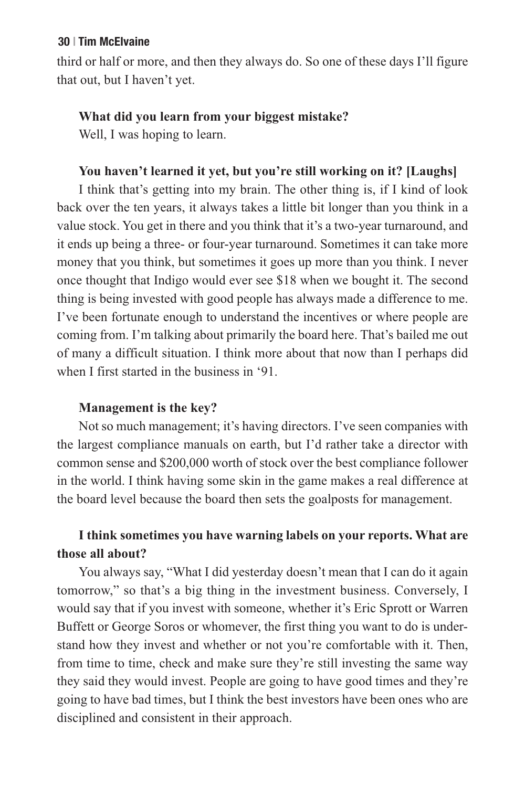third or half or more, and then they always do. So one of these days I'll figure that out, but I haven't yet.

#### **What did you learn from your biggest mistake?**

Well, I was hoping to learn.

#### **You haven't learned it yet, but you're still working on it? [Laughs]**

I think that's getting into my brain. The other thing is, if I kind of look back over the ten years, it always takes a little bit longer than you think in a value stock. You get in there and you think that it's a two-year turnaround, and it ends up being a three- or four-year turnaround. Sometimes it can take more money that you think, but sometimes it goes up more than you think. I never once thought that Indigo would ever see \$18 when we bought it. The second thing is being invested with good people has always made a difference to me. I've been fortunate enough to understand the incentives or where people are coming from. I'm talking about primarily the board here. That's bailed me out of many a difficult situation. I think more about that now than I perhaps did when I first started in the business in '91.

#### **Management is the key?**

Not so much management; it's having directors. I've seen companies with the largest compliance manuals on earth, but I'd rather take a director with common sense and \$200,000 worth of stock over the best compliance follower in the world. I think having some skin in the game makes a real difference at the board level because the board then sets the goalposts for management.

# **I think sometimes you have warning labels on your reports. What are those all about?**

You always say, "What I did yesterday doesn't mean that I can do it again tomorrow," so that's a big thing in the investment business. Conversely, I would say that if you invest with someone, whether it's Eric Sprott or Warren Buffett or George Soros or whomever, the first thing you want to do is understand how they invest and whether or not you're comfortable with it. Then, from time to time, check and make sure they're still investing the same way they said they would invest. People are going to have good times and they're going to have bad times, but I think the best investors have been ones who are disciplined and consistent in their approach.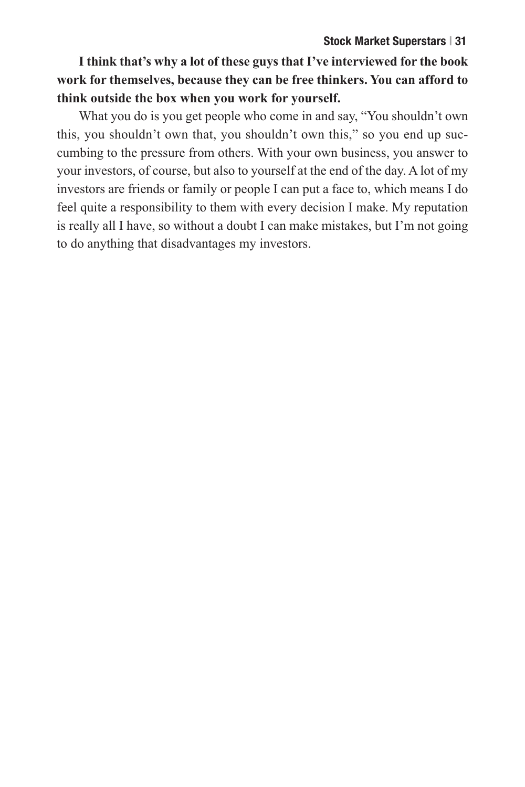**I think that's why a lot of these guys that I've interviewed for the book work for themselves, because they can be free thinkers. You can afford to think outside the box when you work for yourself.**

What you do is you get people who come in and say, "You shouldn't own this, you shouldn't own that, you shouldn't own this," so you end up succumbing to the pressure from others. With your own business, you answer to your investors, of course, but also to yourself at the end of the day. A lot of my investors are friends or family or people I can put a face to, which means I do feel quite a responsibility to them with every decision I make. My reputation is really all I have, so without a doubt I can make mistakes, but I'm not going to do anything that disadvantages my investors.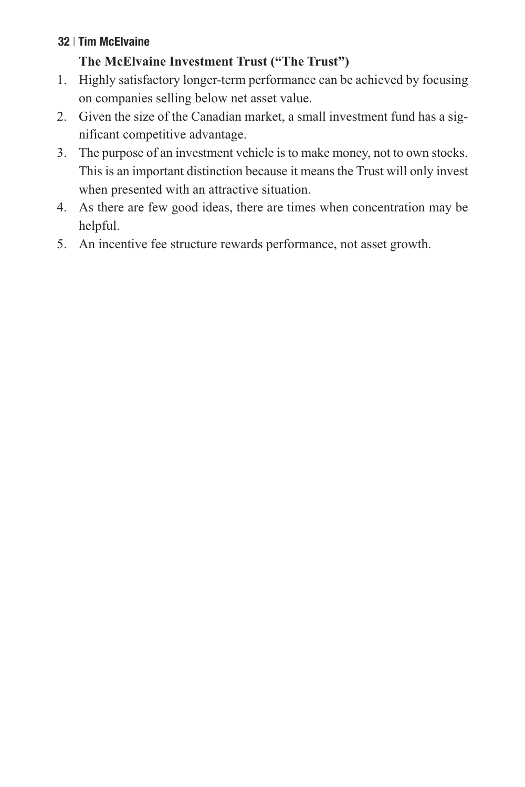# **The McElvaine Investment Trust ("The Trust")**

- 1. Highly satisfactory longer-term performance can be achieved by focusing on companies selling below net asset value.
- 2. Given the size of the Canadian market, a small investment fund has a significant competitive advantage.
- 3. The purpose of an investment vehicle is to make money, not to own stocks. This is an important distinction because it means the Trust will only invest when presented with an attractive situation.
- 4. As there are few good ideas, there are times when concentration may be helpful.
- 5. An incentive fee structure rewards performance, not asset growth.